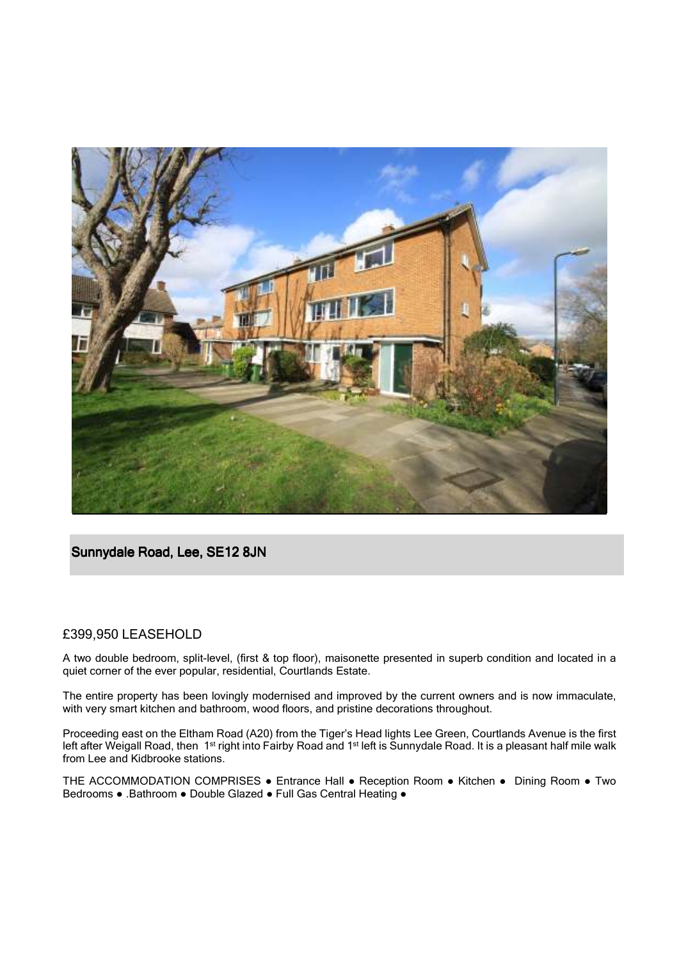

## Sunnydale Road, Lee, SE12 8JN

## £399,950 LEASEHOLD

A two double bedroom, split-level, (first & top floor), maisonette presented in superb condition and located in a quiet corner of the ever popular, residential, Courtlands Estate.

The entire property has been lovingly modernised and improved by the current owners and is now immaculate, with very smart kitchen and bathroom, wood floors, and pristine decorations throughout.

Proceeding east on the Eltham Road (A20) from the Tiger's Head lights Lee Green, Courtlands Avenue is the first left after Weigall Road, then 1<sup>st</sup> right into Fairby Road and 1<sup>st</sup> left is Sunnydale Road. It is a pleasant half mile walk from Lee and Kidbrooke stations.

THE ACCOMMODATION COMPRISES ● Entrance Hall ● Reception Room ● Kitchen ● Dining Room ● Two Bedrooms ● .Bathroom ● Double Glazed ● Full Gas Central Heating ●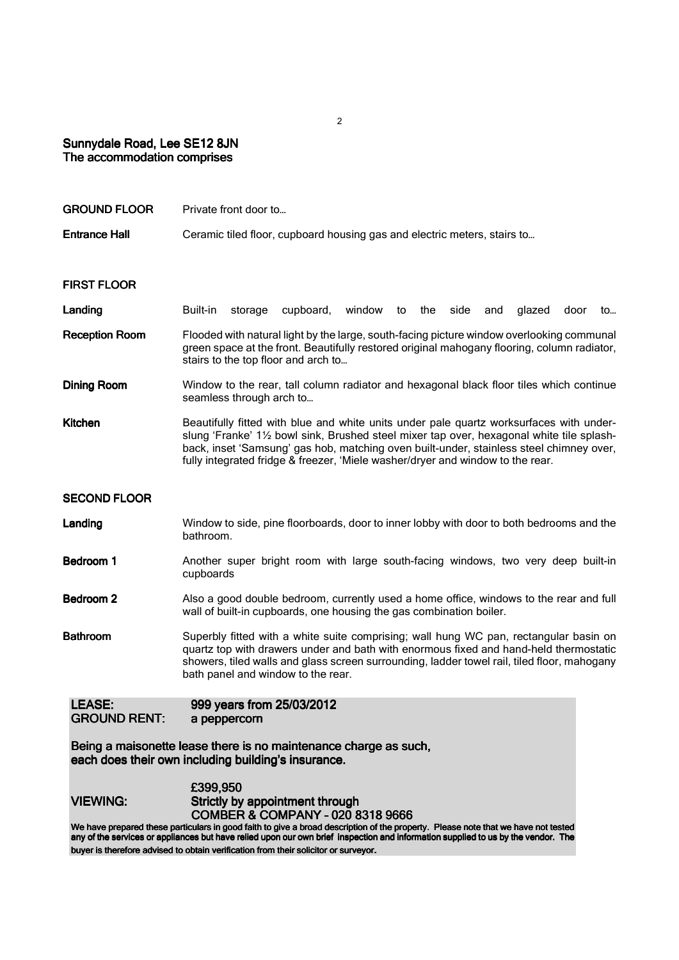## Sunnydale Road, Lee SE12 8JN The accommodation comprises

| <b>GROUND FLOOR</b>                  | Private front door to                                                                                                                                                                                                                                                                                                                                             |
|--------------------------------------|-------------------------------------------------------------------------------------------------------------------------------------------------------------------------------------------------------------------------------------------------------------------------------------------------------------------------------------------------------------------|
| <b>Entrance Hall</b>                 | Ceramic tiled floor, cupboard housing gas and electric meters, stairs to                                                                                                                                                                                                                                                                                          |
| <b>FIRST FLOOR</b>                   |                                                                                                                                                                                                                                                                                                                                                                   |
| Landing                              | Built-in<br>storage<br>cupboard,<br>window<br>the<br>side<br>glazed<br>to<br>and<br>door<br>to                                                                                                                                                                                                                                                                    |
| <b>Reception Room</b>                | Flooded with natural light by the large, south-facing picture window overlooking communal<br>green space at the front. Beautifully restored original mahogany flooring, column radiator,<br>stairs to the top floor and arch to                                                                                                                                   |
| <b>Dining Room</b>                   | Window to the rear, tall column radiator and hexagonal black floor tiles which continue<br>seamless through arch to                                                                                                                                                                                                                                               |
| <b>Kitchen</b>                       | Beautifully fitted with blue and white units under pale quartz worksurfaces with under-<br>slung 'Franke' 11/2 bowl sink, Brushed steel mixer tap over, hexagonal white tile splash-<br>back, inset 'Samsung' gas hob, matching oven built-under, stainless steel chimney over,<br>fully integrated fridge & freezer, 'Miele washer/dryer and window to the rear. |
| <b>SECOND FLOOR</b>                  |                                                                                                                                                                                                                                                                                                                                                                   |
| Landing                              | Window to side, pine floorboards, door to inner lobby with door to both bedrooms and the<br>bathroom.                                                                                                                                                                                                                                                             |
| Bedroom 1                            | Another super bright room with large south-facing windows, two very deep built-in<br>cupboards                                                                                                                                                                                                                                                                    |
| Bedroom <sub>2</sub>                 | Also a good double bedroom, currently used a home office, windows to the rear and full<br>wall of built-in cupboards, one housing the gas combination boiler.                                                                                                                                                                                                     |
| <b>Bathroom</b>                      | Superbly fitted with a white suite comprising; wall hung WC pan, rectangular basin on<br>quartz top with drawers under and bath with enormous fixed and hand-held thermostatic<br>showers, tiled walls and glass screen surrounding, ladder towel rail, tiled floor, mahogany<br>bath panel and window to the rear.                                               |
| <b>LEASE:</b><br><b>GROUND RENT:</b> | 999 years from 25/03/2012<br>a peppercorn                                                                                                                                                                                                                                                                                                                         |

Being a maisonette lease there is no maintenance charge as such, each does their own including building's insurance.

|          | £399,950                                    |
|----------|---------------------------------------------|
| VIEWING: | Strictly by appointment through             |
|          | <b>COMBER &amp; COMPANY - 020 8318 9666</b> |
|          |                                             |

We have prepared these particulars in good faith to give a broad description of the property. Please note that we have not tested any of the services or appliances but have relied upon our own brief inspection and information supplied to us by the vendor. The buyer is therefore advised to obtain verification from their solicitor or surveyor.

2